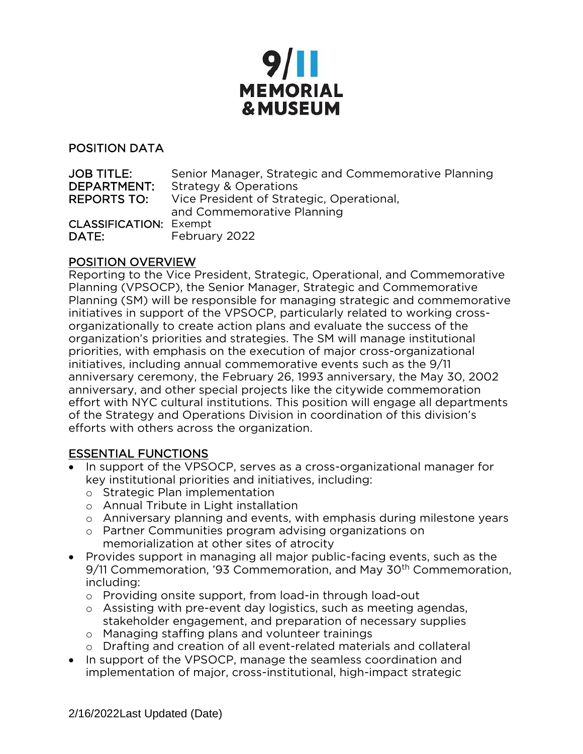

#### POSITION DATA

| <b>JOB TITLE:</b>             | Senior Manager, Strategic and Commemorative Planning |
|-------------------------------|------------------------------------------------------|
| DEPARTMENT:                   | <b>Strategy &amp; Operations</b>                     |
| <b>REPORTS TO:</b>            | Vice President of Strategic, Operational,            |
|                               | and Commemorative Planning                           |
| <b>CLASSIFICATION: Exempt</b> |                                                      |
| DATE:                         | February 2022                                        |

### POSITION OVERVIEW

Reporting to the Vice President, Strategic, Operational, and Commemorative Planning (VPSOCP), the Senior Manager, Strategic and Commemorative Planning (SM) will be responsible for managing strategic and commemorative initiatives in support of the VPSOCP, particularly related to working crossorganizationally to create action plans and evaluate the success of the organization's priorities and strategies. The SM will manage institutional priorities, with emphasis on the execution of major cross-organizational initiatives, including annual commemorative events such as the 9/11 anniversary ceremony, the February 26, 1993 anniversary, the May 30, 2002 anniversary, and other special projects like the citywide commemoration effort with NYC cultural institutions. This position will engage all departments of the Strategy and Operations Division in coordination of this division's efforts with others across the organization.

#### ESSENTIAL FUNCTIONS

- In support of the VPSOCP, serves as a cross-organizational manager for key institutional priorities and initiatives, including:
	- o Strategic Plan implementation
	- o Annual Tribute in Light installation
	- o Anniversary planning and events, with emphasis during milestone years
	- o Partner Communities program advising organizations on memorialization at other sites of atrocity
- Provides support in managing all major public-facing events, such as the 9/11 Commemoration, '93 Commemoration, and May 30<sup>th</sup> Commemoration, including:
	- o Providing onsite support, from load-in through load-out
	- o Assisting with pre-event day logistics, such as meeting agendas, stakeholder engagement, and preparation of necessary supplies
	- o Managing staffing plans and volunteer trainings
	- o Drafting and creation of all event-related materials and collateral
- In support of the VPSOCP, manage the seamless coordination and implementation of major, cross-institutional, high-impact strategic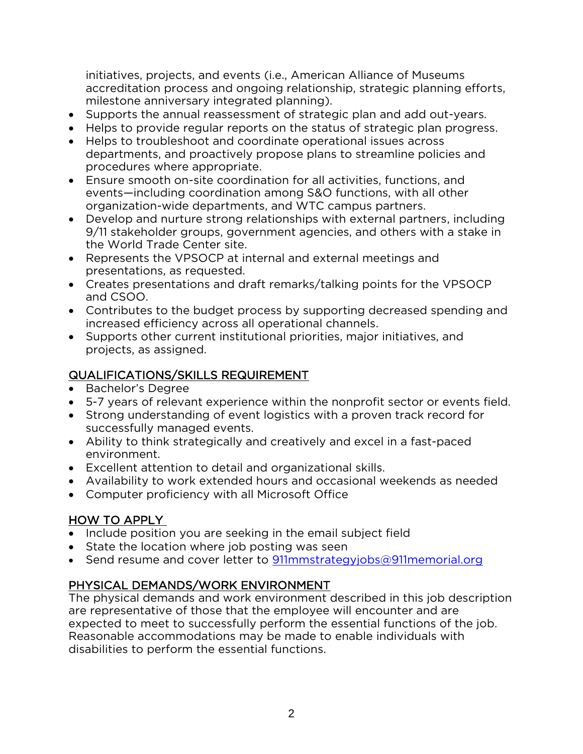initiatives, projects, and events (i.e., American Alliance of Museums accreditation process and ongoing relationship, strategic planning efforts, milestone anniversary integrated planning).

- Supports the annual reassessment of strategic plan and add out-years.
- Helps to provide regular reports on the status of strategic plan progress.
- Helps to troubleshoot and coordinate operational issues across departments, and proactively propose plans to streamline policies and procedures where appropriate.
- Ensure smooth on-site coordination for all activities, functions, and events—including coordination among S&O functions, with all other organization-wide departments, and WTC campus partners.
- Develop and nurture strong relationships with external partners, including 9/11 stakeholder groups, government agencies, and others with a stake in the World Trade Center site.
- Represents the VPSOCP at internal and external meetings and presentations, as requested.
- Creates presentations and draft remarks/talking points for the VPSOCP and CSOO.
- Contributes to the budget process by supporting decreased spending and increased efficiency across all operational channels.
- Supports other current institutional priorities, major initiatives, and projects, as assigned.

# QUALIFICATIONS/SKILLS REQUIREMENT

- Bachelor's Degree
- 5-7 years of relevant experience within the nonprofit sector or events field.
- Strong understanding of event logistics with a proven track record for successfully managed events.
- Ability to think strategically and creatively and excel in a fast-paced environment.
- Excellent attention to detail and organizational skills.
- Availability to work extended hours and occasional weekends as needed
- Computer proficiency with all Microsoft Office

## HOW TO APPLY

- Include position you are seeking in the email subject field
- State the location where job posting was seen
- Send resume and cover letter to [911mmstrategyjobs@911memorial.org](mailto:911mmstrategyjobs@911memorial.org)

# PHYSICAL DEMANDS/WORK ENVIRONMENT

The physical demands and work environment described in this job description are representative of those that the employee will encounter and are expected to meet to successfully perform the essential functions of the job. Reasonable accommodations may be made to enable individuals with disabilities to perform the essential functions.